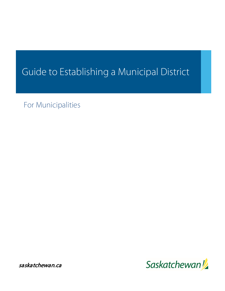# Guide to Establishing a Municipal District

For Municipalities

Saskatchewan!

saskatchewan.ca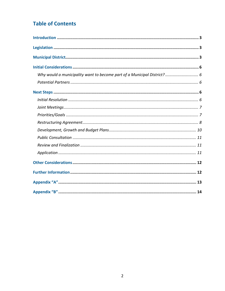# **Table of Contents**

| Why would a municipality want to become part of a Municipal District? 6 |  |
|-------------------------------------------------------------------------|--|
|                                                                         |  |
|                                                                         |  |
|                                                                         |  |
|                                                                         |  |
|                                                                         |  |
|                                                                         |  |
|                                                                         |  |
|                                                                         |  |
|                                                                         |  |
|                                                                         |  |
|                                                                         |  |
|                                                                         |  |
|                                                                         |  |
|                                                                         |  |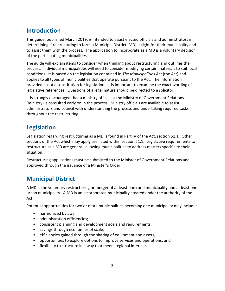# **Introduction**

This guide, published March 2019, is intended to assist elected officials and administrators in determining if restructuring to form a Municipal District (MD) is right for their municipality and to assist them with the process. The application to incorporate as a MD is a voluntary decision of the participating municipalities.

The guide will explain items to consider when thinking about restructuring and outlines the process. Individual municipalities will need to consider modifying certain materials to suit local conditions. It is based on the legislation contained in *The Municipalities Act* (the Act) and applies to all types of municipalities that operate pursuant to the Act. The information provided is not a substitution for legislation. It is important to examine the exact wording of legislative references. Questions of a legal nature should be directed to a solicitor.

It is strongly encouraged that a ministry official at the Ministry of Government Relations (ministry) is consulted early on in the process. Ministry officials are available to assist administrators and council with understanding the process and undertaking required tasks throughout the restructuring.

# **Legislation**

Legislation regarding restructuring as a MD is found in Part IV of the Act, section 51.1. Other sections of the Act which may apply are listed within section 51.1. Legislative requirements to restructure as a MD are general, allowing municipalities to address matters specific to their situation.

Restructuring applications must be submitted to the Minister of Government Relations and approved through the issuance of a Minister's Order.

# **Municipal District**

A MD is the voluntary restructuring or merger of at least one rural municipality and at least one urban municipality. A MD is an incorporated municipality created under the authority of the Act.

Potential opportunities for two or more municipalities becoming one municipality may include:

- harmonized bylaws;
- administration efficiencies;
- consistent planning and development goals and requirements;
- savings through economies of scale;
- efficiencies gained through the sharing of equipment and assets;
- opportunities to explore options to improve services and operations; and
- flexibility to structure in a way that meets regional interests.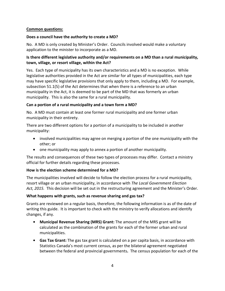### **Common questions:**

### **Does a council have the authority to create a MD?**

No. A MD is only created by Minister's Order. Councils involved would make a voluntary application to the minister to incorporate as a MD.

### **Is there different legislative authority and/or requirements on a MD than a rural municipality, town, village, or resort village, within the Act?**

Yes. Each type of municipality has its own characteristics and a MD is no exception. While legislative authorities provided in the Act are similar for all types of municipalities, each type may have specific legislative provisions that only apply to them, including a MD. For example, subsection 51.1(5) of the Act determines that when there is a reference to an urban municipality in the Act, it is deemed to be part of the MD that was formerly an urban municipality. This is also the same for a rural municipality.

### **Can a portion of a rural municipality and a town form a MD?**

No. A MD must contain at least one former rural municipality and one former urban municipality in their entirety.

There are two different options for a portion of a municipality to be included in another municipality:

- involved municipalities may agree on merging a portion of the one municipality with the other; or
- one municipality may apply to annex a portion of another municipality.

The results and consequences of these two types of processes may differ. Contact a ministry official for further details regarding these processes.

### **How is the election scheme determined for a MD?**

The municipalities involved will decide to follow the election process for a rural municipality, resort village or an urban municipality, in accordance with *The Local Government Election Act, 2015.* This decision will be set out in the restructuring agreement and the Minister's Order.

### **What happens with grants, such as revenue sharing and gas tax?**

Grants are reviewed on a regular basis, therefore, the following information is as of the date of writing this guide. It is important to check with the ministry to verify allocations and identify changes, if any.

- **• Municipal Revenue Sharing (MRS) Grant:** The amount of the MRS grant will be calculated as the combination of the grants for each of the former urban and rural municipalities.
- **• Gas Tax Grant:** The gas tax grant is calculated on a per capita basis, in accordance with Statistics Canada's most current census, as per the bilateral agreement negotiated between the federal and provincial governments**.** The census population for each of the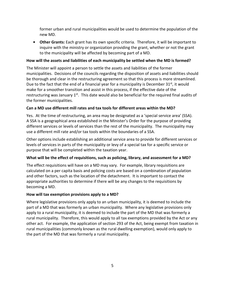former urban and rural municipalities would be used to determine the population of the new MD.

**• Other Grants:** Each grant has its own specific criteria. Therefore, it will be important to inquire with the ministry or organization providing the grant, whether or not the grant to the municipality will be affected by becoming part of a MD.

### **How will the assets and liabilities of each municipality be settled when the MD is formed?**

The Minister will appoint a person to settle the assets and liabilities of the former municipalities. Decisions of the councils regarding the disposition of assets and liabilities should be thorough and clear in the restructuring agreement so that this process is more streamlined. Due to the fact that the end of a financial year for a municipality is December  $31^{st}$ , it would make for a smoother transition and assist in this process, if the effective date of the restructuring was January  $1<sup>st</sup>$ . This date would also be beneficial for the required final audits of the former municipalities.

### **Can a MD use different mill rates and tax tools for different areas within the MD?**

Yes. At the time of restructuring, an area may be designated as a 'special service area' (SSA). A SSA is a geographical area established in the Minister's Order for the purpose of providing different services or levels of services than the rest of the municipality. The municipality may use a different mill rate and/or tax tools within the boundaries of a SSA.

Other options include establishing an additional service area to provide for different services or levels of services in parts of the municipality or levy of a special tax for a specific service or purpose that will be completed within the taxation year.

### **What will be the effect of requisitions, such as policing, library, and assessment for a MD?**

The effect requisitions will have on a MD may vary. For example, library requisitions are calculated on a per capita basis and policing costs are based on a combination of population and other factors, such as the location of the detachment. It is important to contact the appropriate authorities to determine if there will be any changes to the requisitions by becoming a MD.

### **How will tax exemption provisions apply to a MD?**

Where legislative provisions only apply to an urban municipality, it is deemed to include the part of a MD that was formerly an urban municipality. Where any legislative provisions only apply to a rural municipality, it is deemed to include the part of the MD that was formerly a rural municipality. Therefore, this would apply to all tax exemptions provided by the Act or any other act. For example, the application of section 293 of the Act, being exempt from taxation in rural municipalities (commonly known as the rural dwelling exemption), would only apply to the part of the MD that was formerly a rural municipality.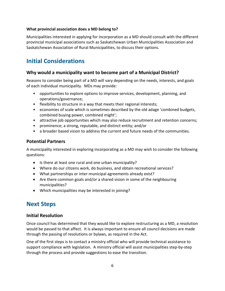### **What provincial association does a MD belong to?**

Municipalities interested in applying for incorporation as a MD should consult with the different provincial municipal associations such as Saskatchewan Urban Municipalities Association and Saskatchewan Association of Rural Municipalities, to discuss their options.

# **Initial Considerations**

### **Why would a municipality want to become part of a Municipal District?**

Reasons to consider being part of a MD will vary depending on the needs, interests, and goals of each individual municipality. MDs may provide:

- opportunities to explore options to improve services, development, planning, and operations/governance;
- flexibility to structure in a way that meets their regional interests;
- economies of scale which is sometimes described by the old adage 'combined budgets, combined buying power, combined might';
- attractive job opportunities which may also reduce recruitment and retention concerns;
- prominence; a strong, reputable, and distinct entity; and/or
- a broader based vision to address the current and future needs of the communities.

### **Potential Partners**

A municipality interested in exploring incorporating as a MD may wish to consider the following questions:

- Is there at least one rural and one urban municipality?
- Where do our citizens work, do business, and obtain recreational services?
- What partnerships or inter-municipal agreements already exist?
- Are there common goals and/or a shared vision in some of the neighbouring municipalities?
- Which municipalities may be interested in joining?

# **Next Steps**

### **Initial Resolution**

Once council has determined that they would like to explore restructuring as a MD, a resolution would be passed to that affect. It is always important to ensure all council decisions are made through the passing of resolutions or bylaws, as required in the Act.

One of the first steps is to contact a ministry official who will provide technical assistance to support compliance with legislation. A ministry official will assist municipalities step-by-step through the process and provide suggestions to ease the transition.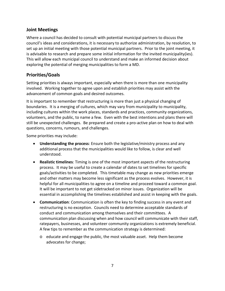### **Joint Meetings**

Where a council has decided to consult with potential municipal partners to discuss the council's ideas and considerations, it is necessary to authorize administration, by resolution, to set up an initial meeting with those potential municipal partners. Prior to the joint meeting, it is advisable to research and prepare some initial information for the invited municipality(ies). This will allow each municipal council to understand and make an informed decision about exploring the potential of merging municipalities to form a MD.

# **Priorities/Goals**

Setting priorities is always important, especially when there is more than one municipality involved. Working together to agree upon and establish priorities may assist with the advancement of common goals and desired outcomes.

It is important to remember that restructuring is more than just a physical changing of boundaries. It is a merging of cultures, which may vary from municipality to municipality, including cultures within the work places, standards and practices, community organizations, volunteers, and the public, to name a few. Even with the best intentions and plans there will still be unexpected challenges. Be prepared and create a pro-active plan on how to deal with questions, concerns, rumours, and challenges.

Some priorities may include:

- **Understanding the process**: Ensure both the legislative/ministry process and any additional process that the municipalities would like to follow, is clear and well understood.
- **Realistic timelines**: Timing is one of the most important aspects of the restructuring process. It may be useful to create a calendar of dates to set timelines for specific goals/activities to be completed. This timetable may change as new priorities emerge and other matters may become less significant as the process evolves. However, it is helpful for all municipalities to agree on a timeline and proceed toward a common goal. It will be important to not get sidetracked on minor issues. Organization will be essential in accomplishing the timelines established and assist in keeping with the goals.
- **Communication**: Communication is often the key to finding success in any event and restructuring is no exception. Councils need to determine acceptable standards of conduct and communication among themselves and their committees. A communication plan discussing when and how council will communicate with their staff, ratepayers, businesses, and volunteer community organizations is extremely beneficial. A few tips to remember as the communication strategy is determined:
	- o educate and engage the public, the most valuable asset. Help them become advocates for change;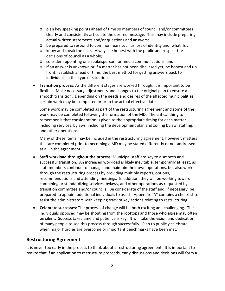- o plan key speaking points ahead of time so members of council and/or committees clearly and consistently articulate the desired message. This may include preparing actual written statements and/or questions and answers;
- o be prepared to respond to common fears such as loss of identity and 'what ifs';
- o know and speak the facts. Always be honest with the public and respect the decisions of council as a whole;
- o consider appointing one spokesperson for media communications; and
- $\circ$  if an answer is unknown or if a matter has not been discussed yet, be honest and up front. Establish ahead of time, the best method for getting answers back to individuals in this type of situation.
- **Transition process**: As the different stages are worked through, it is important to be flexible. Make necessary adjustments and changes to the original plan to ensure a smooth transition. Depending on the needs and desires of the affected municipalities, certain work may be completed prior to the actual effective date.

Some work may be completed as part of the restructuring agreement and some of the work may be completed following the formation of the MD. The critical thing to remember is that consideration is given to the appropriate timing for each matter including services, bylaws, including the development plan and zoning bylaw, staffing, and other operations.

Many of these items may be included in the restructuring agreement, however, matters that are completed prior to becoming a MD may be stated differently or not addressed at all in the agreement.

- **Staff workload throughout the process**: Municipal staff are key to a smooth and successful transition. An increased workload is likely inevitable, temporarily at least, as staff members continue to manage and maintain their own operations, but also work through the restructuring process by providing multiple reports, options, recommendations and attending meetings. In addition, they will be working toward combining or standardizing services, bylaws, and other operations as requested by a transition committee and/or councils. Be considerate of the staff and, if necessary, be prepared to appoint additional individuals to assist. Appendix "A" contains a checklist to assist the administrators with keeping track of key actions relating to restructuring.
- **Celebrate successes**: The process of change will be both exciting and challenging. The individuals opposed may be shouting from the rooftops and those who agree may often be silent. Success takes time and patience is key. It will take the vision and dedication of many people to see this process through successfully. Plan to publicly celebrate when major hurdles are overcome or important benchmarks have been met.

### **Restructuring Agreement**

It is never too early in the process to think about a restructuring agreement. It is important to realize that if an application to restructure proceeds, early discussions and decisions will form a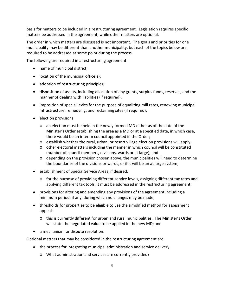basis for matters to be included in a restructuring agreement. Legislation requires specific matters be addressed in the agreement, while other matters are optional.

The order in which matters are discussed is not important. The goals and priorities for one municipality may be different than another municipality, but each of the topics below are required to be addressed at some point during the process.

The following are required in a restructuring agreement:

- name of municipal district;
- location of the municipal office(s);
- adoption of restructuring principles;
- disposition of assets, including allocation of any grants, surplus funds, reserves, and the manner of dealing with liabilities (if required);
- imposition of special levies for the purpose of equalizing mill rates, renewing municipal infrastructure, remedying, and reclaiming sites (if required);
- election provisions:
	- o an election must be held in the newly formed MD either as of the date of the Minister's Order establishing the area as a MD or at a specified date, in which case, there would be an interim council appointed in the Order;
	- $\circ$  establish whether the rural, urban, or resort village election provisions will apply;
	- o other electoral matters including the manner in which council will be constituted (number of council members, divisions, wards or at large); and
	- o depending on the provision chosen above, the municipalities will need to determine the boundaries of the divisions or wards, or if it will be an at large system;
- establishment of Special Service Areas, if desired:
	- $\circ$  for the purpose of providing different service levels, assigning different tax rates and applying different tax tools, it must be addressed in the restructuring agreement;
- provisions for altering and amending any provisions of the agreement including a minimum period, if any, during which no changes may be made;
- thresholds for properties to be eligible to use the simplified method for assessment appeals:
	- o this is currently different for urban and rural municipalities. The Minister's Order will state the negotiated value to be applied in the new MD; and
- a mechanism for dispute resolution.

Optional matters that may be considered in the restructuring agreement are:

- the process for integrating municipal administration and service delivery:
	- o What administration and services are currently provided?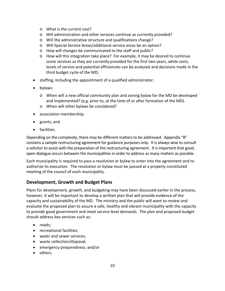- o What is the current cost?
- o Will administration and other services continue as currently provided?
- o Will the administrative structure and qualifications change?
- o Will Special Service Areas/additional service areas be an option?
- o How will changes be communicated to the staff and public?
- o How will this integration take place? For example, it may be desired to continue some services as they are currently provided for the first two years, while costs, levels of service and potential efficiencies can be analyzed and decisions made in the third budget cycle of the MD;
- staffing, including the appointment of a qualified administrator;
- bylaws:
	- o When will a new official community plan and zoning bylaw for the MD be developed and implemented? (e.g. prior to, at the time of or after formation of the MD).
	- o When will other bylaws be considered?
- association membership;
- grants; and
- facilities.

Depending on the complexity, there may be different matters to be addressed. Appendix "B" contains a sample restructuring agreement for guidance purposes only. It is always wise to consult a solicitor to assist with the preparation of the restructuring agreement. It is important that good, open dialogue occurs between the municipalities in order to address as many matters as possible.

Each municipality is required to pass a resolution or bylaw to enter into the agreement and to authorize its execution. The resolution or bylaw must be passed at a properly constituted meeting of the council of each municipality.

### **Development, Growth and Budget Plans**

Plans for development, growth, and budgeting may have been discussed earlier in the process, however, it will be important to develop a written plan that will provide evidence of the capacity and sustainability of the MD. The ministry and the public will want to review and evaluate the proposed plan to assure a safe, healthy and vibrant municipality with the capacity to provide good government and meet service level demands. The plan and proposed budget should address key services such as:

- roads;
- recreational facilities;
- water and sewer services;
- waste collection/disposal;
- emergency preparedness; and/or
- others.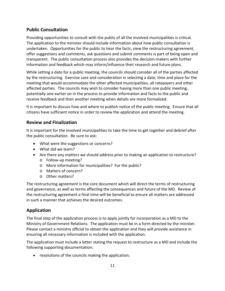# **Public Consultation**

Providing opportunities to consult with the public of all the involved municipalities is critical. The application to the minister should include information about how public consultation is undertaken. Opportunities for the public to hear the facts, view the restructuring agreement, offer suggestions and comments, ask questions and submit comments is part of being open and transparent. The public consultation process also provides the decision-makers with further information and feedback which may inform/influence their research and future plans.

While setting a date for a public meeting, the councils should consider all of the parties affected by the restructuring. Exercise care and consideration in selecting a date, time and place for the meeting that would accommodate the other affected municipalities, all ratepayers and other affected parties. The councils may wish to consider having more than one public meeting, potentially one earlier on in the process to provide information and facts to the public and receive feedback and then another meeting when details are more formalized.

It is important to discuss how and where to publish notice of the public meeting. Ensure that all citizens have sufficient notice in order to review the application and attend the meeting.

### **Review and Finalization**

It is important for the involved municipalities to take the time to get together and debrief after the public consultation. Be sure to ask:

- What were the suggestions or concerns?
- What did we learn?
- Are there any matters we should address prior to making an application to restructure?
	- o Follow-up meeting?
	- o More information for municipalities? For the public?
	- o Matters of concern?
	- o Other matters?

The restructuring agreement is the core document which will direct the terms of restructuring and governance, as well as terms affecting the consequences and future of the MD. Review of the restructuring agreement a final time will be beneficial to ensure all matters are addressed in such a manner that achieves the desired outcomes.

### **Application**

The final step of the application process is to apply jointly for incorporation as a MD to the Ministry of Government Relations. The application must be in a form directed by the minister. Please contact a ministry official to obtain the application and they will provide assistance in ensuring all necessary information is included with the application.

The application must include a letter stating the request to restructure as a MD and include the following supporting documentation:

• resolutions of the councils making the application;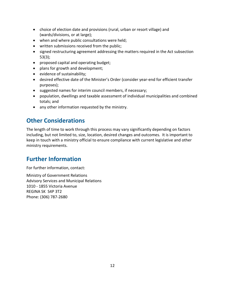- choice of election date and provisions (rural, urban or resort village) and (wards/divisions, or at large);
- when and where public consultations were held;
- written submissions received from the public;
- signed restructuring agreement addressing the matters required in the Act subsection 53(3);
- proposed capital and operating budget;
- plans for growth and development;
- evidence of sustainability;
- desired effective date of the Minister's Order (consider year-end for efficient transfer purposes);
- suggested names for interim council members, if necessary;
- population, dwellings and taxable assessment of individual municipalities and combined totals; and
- any other information requested by the ministry.

# **Other Considerations**

The length of time to work through this process may vary significantly depending on factors including, but not limited to, size, location, desired changes and outcomes. It is important to keep in touch with a ministry official to ensure compliance with current legislative and other ministry requirements.

# **Further Information**

For further information, contact:

Ministry of Government Relations Advisory Services and Municipal Relations 1010 - 1855 Victoria Avenue REGINA SK S4P 3T2 Phone: (306) 787-2680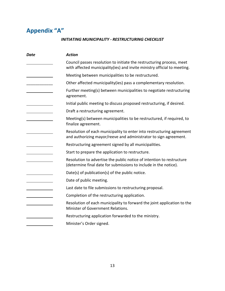# **Appendix "A"**

### *INITIATING MUNICIPALITY - RESTRUCTURING CHECKLIST*

| <b>Date</b> | <b>Action</b>                                                                                                                                     |
|-------------|---------------------------------------------------------------------------------------------------------------------------------------------------|
|             | Council passes resolution to initiate the restructuring process, meet<br>with affected municipality(ies) and invite ministry official to meeting. |
|             | Meeting between municipalities to be restructured.                                                                                                |
|             | Other affected municipality(ies) pass a complementary resolution.                                                                                 |
|             | Further meeting(s) between municipalities to negotiate restructuring<br>agreement.                                                                |
|             | Initial public meeting to discuss proposed restructuring, if desired.                                                                             |
|             | Draft a restructuring agreement.                                                                                                                  |
|             | Meeting(s) between municipalities to be restructured, if required, to<br>finalize agreement.                                                      |
|             | Resolution of each municipality to enter into restructuring agreement<br>and authorizing mayor/reeve and administrator to sign agreement.         |
|             | Restructuring agreement signed by all municipalities.                                                                                             |
|             | Start to prepare the application to restructure.                                                                                                  |
|             | Resolution to advertise the public notice of intention to restructure<br>(determine final date for submissions to include in the notice).         |
|             | Date(s) of publication(s) of the public notice.                                                                                                   |
|             | Date of public meeting.                                                                                                                           |
|             | Last date to file submissions to restructuring proposal.                                                                                          |
|             | Completion of the restructuring application.                                                                                                      |
|             | Resolution of each municipality to forward the joint application to the<br>Minister of Government Relations.                                      |
|             | Restructuring application forwarded to the ministry.                                                                                              |
|             | Minister's Order signed.                                                                                                                          |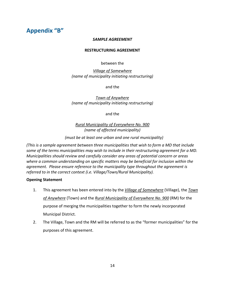# **Appendix "B"**

#### *SAMPLE AGREEMENT*

#### **RESTRUCTURING AGREEMENT**

#### between the

*Village of Somewhere (name of municipality initiating restructuring)*

and the

*Town of Anywhere (name of municipality initiating restructuring)*

and the

*Rural Municipality of Everywhere No. 900 (name of affected municipality)*

*(must be at least one urban and one rural municipality)*

*(This is a sample agreement between three municipalities that wish to form a MD that include some of the terms municipalities may wish to include in their restructuring agreement for a MD. Municipalities should review and carefully consider any areas of potential concern or areas where a common understanding on specific matters may be beneficial for inclusion within the agreement. Please ensure reference to the municipality type throughout the agreement is referred to in the correct context (i.e. Village/Town/Rural Municipality).*

#### **Opening Statement**

- 1. This agreement has been entered into by the *Village of Somewhere* (Village), the *Town of Anywhere* (Town) and the *Rural Municipality of Everywhere No. 900* (RM) for the purpose of merging the municipalities together to form the newly incorporated Municipal District.
- 2. The Village, Town and the RM will be referred to as the "former municipalities" for the purposes of this agreement.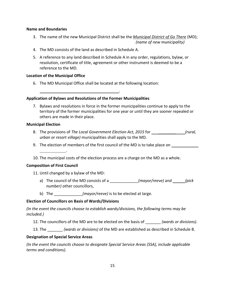#### **Name and Boundaries**

- 3. The name of the new Municipal District shall be the *Municipal District of Go There* (MD); *(name of new municipality)*
- 4. The MD consists of the land as described in Schedule A.
- 5. A reference to any land described in Schedule A in any order, regulations, bylaw, or resolution, certificate of title, agreement or other instrument is deemed to be a reference to the MD.

### **Location of the Municipal Office**

6. The MD Municipal Office shall be located at the following location:

### **Application of Bylaws and Resolutions of the Former Municipalities**

7. Bylaws and resolutions in force in the former municipalities continue to apply to the territory of the former municipalities for one year or until they are sooner repealed or others are made in their place.

.

### **Municipal Election**

- 8. The provisions of *The Local Government Election Act, 2015* for \_\_\_\_\_\_\_\_ *(rural, urban or resort village)* municipalities shall apply to the MD*.*
- 9. The election of members of the first council of the MD is to take place on
- 10. The municipal costs of the election process are a charge on the MD as a whole.

### **Composition of First Council**

11. Until changed by a bylaw of the MD:

.

- a) The council of the MD consists of a \_\_\_\_\_\_\_\_\_\_\_\_\_*(mayor/reeve)* and *(pick number)* other councillors,
- b) The  $(mayor/reeve)$  is to be elected at large.

### **Election of Councillors on Basis of Wards/Divisions**

*(In the event the councils choose to establish wards/divisions, the following terms may be included.)*

- 12. The councillors of the MD are to be elected on the basis of \_\_\_\_\_\_\_ *(wards or divisions)*.
- 13. The \_\_\_\_\_\_\_ *(wards or divisions)* of the MD are established as described in Schedule B.

### **Designation of Special Service Areas**

*(In the event the councils choose to designate Special Service Areas (SSA), include applicable terms and conditions).*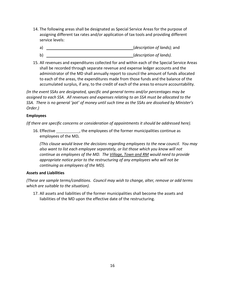- 14. The following areas shall be designated as Special Service Areas for the purpose of assigning different tax rates and/or application of tax tools and providing different service levels:
	- a) (*description of lands);* and
	- b) (*description of lands).*
- 15. All revenues and expenditures collected for and within each of the Special Service Areas shall be recorded through separate revenue and expense ledger accounts and the administrator of the MD shall annually report to council the amount of funds allocated to each of the areas, the expenditures made from those funds and the balance of the accumulated surplus, if any, to the credit of each of the areas to ensure accountability.

*(In the event SSAs are designated, specific and general terms and/or percentages may be assigned to each SSA. All revenues and expenses relating to an SSA must be allocated to the SSA. There is no general 'pot' of money until such time as the SSAs are dissolved by Minister's Order.)*

### **Employees**

*(If there are specific concerns or consideration of appointments it should be addressed here).*

16. Effective \_\_\_\_\_\_\_\_\_\_\_\_, the employees of the former municipalities continue as employees of the MD*.* 

*(This clause would leave the decisions regarding employees to the new council. You may also want to list each employee separately, or list those which you know will not continue as employees of the MD. The Village, Town and RM would need to provide appropriate notice prior to the restructuring of any employees who will not be continuing as employees of the MD).*

### **Assets and Liabilities**

*(These are sample terms/conditions. Council may wish to change, alter, remove or add terms which are suitable to the situation).*

17. All assets and liabilities of the former municipalities shall become the assets and liabilities of the MD upon the effective date of the restructuring.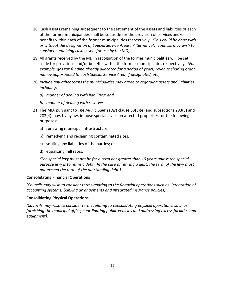- 18. Cash assets remaining subsequent to the settlement of the assets and liabilities of each of the former municipalities shall be set aside for the provision of services and/or benefits within each of the former municipalities respectively. *(This could be done with or without the designation of Special Service Areas. Alternatively, councils may wish to consider combining cash assets for use by the MD).*
- 19. All grants received by the MD in recognition of the former municipalities will be set aside for provisions and/or benefits within the former municipalities respectively*. (For example, gas tax funding already allocated for a period of years; revenue sharing grant money apportioned to each Special Service Area, if designated; etc).*
- 20. *Include any other terms the municipalities may agree to regarding assets and liabilities including:*
	- *a) manner of dealing with liabilities; and*
	- *b) manner of dealing with reserves.*
- 21. The MD*,* pursuant to *The Municipalities Act* clause 53(3)(e) and subsections 283(3) and 283(4) may, by bylaw, impose special levies on affected properties for the following purposes:
	- a) renewing municipal infrastructure;
	- b) remedying and reclaiming contaminated sites;
	- c) settling any liabilities of the parties; or
	- d) equalizing mill rates.

*(The special levy must not be for a term not greater than 10 years unless the special purpose levy is to retire a debt. In the case of retiring a debt, the term of the levy must not exceed the term of the outstanding debt.)*

### **Consolidating Financial Operations**

*(Councils may wish to consider terms relating to the financial operations such as: integration of accounting systems, banking arrangements and integrated insurance policies).*

### **Consolidating Physical Operations**

*(Councils may wish to consider terms relating to consolidating physical operations, such as: furnishing the municipal office, coordinating public vehicles and addressing excess facilities and equipment).*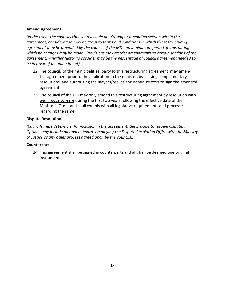### **Amend Agreement**

*(In the event the councils choose to include an altering or amending section within the agreement, consideration may be given to terms and conditions in which the restructuring agreement may be amended by the council of the MD and a minimum period, if any, during which no changes may be made. Provisions may restrict amendments to certain sections of the agreement. Another factor to consider may be the percentage of council agreement needed to be in favor of an amendment).*

- 22. The councils of the municipalities, party to this restructuring agreement, may amend this agreement prior to the application to the minister, by passing complementary resolutions, and authorizing the mayors/reeves and administrators to sign the amended agreement.
- 23. The council of the MD may only amend this restructuring agreement by resolution with *unanimous consent* during the first two years following the effective date of the Minister's Order and shall comply with all legislative requirements and processes regarding the same.

#### **Dispute Resolution**

*(Councils must determine, for inclusion in the agreement, the process to resolve disputes. Options may include an appeal board, employing the Dispute Resolution Office with the Ministry of Justice or any other process agreed upon by the councils.)*

#### **Counterpart**

24. This agreement shall be signed in counterparts and all shall be deemed one original instrument.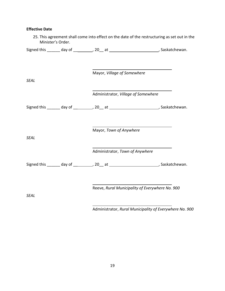## **Effective Date**

|             | Signed this _______ day of __________, 20__ at ___________________________, Saskatchewan. |  |
|-------------|-------------------------------------------------------------------------------------------|--|
|             | Mayor, Village of Somewhere                                                               |  |
| <b>SEAL</b> |                                                                                           |  |
|             | Administrator, Village of Somewhere                                                       |  |
|             | Signed this ______ day of _________, 20__ at ___________________________, Saskatchewan.   |  |
| <b>SEAL</b> | Mayor, Town of Anywhere                                                                   |  |
|             | Administrator, Town of Anywhere                                                           |  |
|             | Signed this _______ day of __________, 20__ at ___________________________, Saskatchewan. |  |
| <b>SEAL</b> | Reeve, Rural Municipality of Everywhere No. 900                                           |  |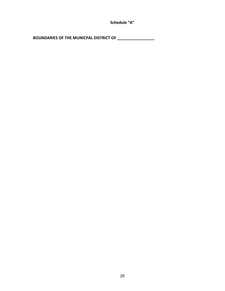**Schedule "A"**

**BOUNDARIES OF THE MUNICPAL DISTRICT OF \_\_\_\_\_\_\_\_\_\_\_\_\_\_\_\_\_**